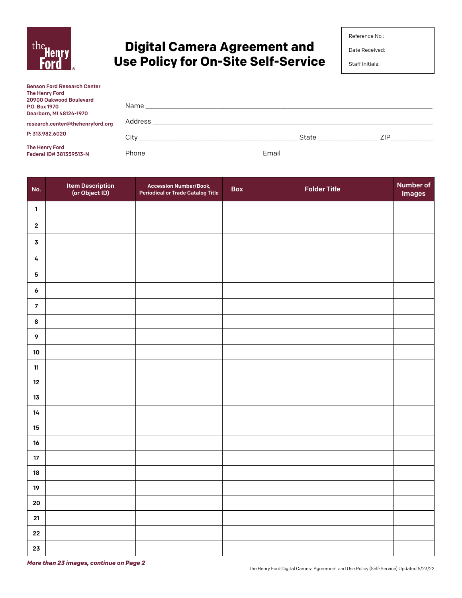

# **Digital Camera Agreement and Use Policy for On-Site Self-Service**

Date Received:

Staff Initials:

| <b>Benson Ford Research Center</b>        |       |       |                   |            |
|-------------------------------------------|-------|-------|-------------------|------------|
| <b>The Henry Ford</b>                     |       |       |                   |            |
| 20900 Oakwood Boulevard                   |       |       |                   |            |
| P.O. Box 1970                             |       |       |                   |            |
| Dearborn, MI 48124-1970                   |       |       |                   |            |
| research.center@thehenryford.org          |       |       |                   |            |
| P: 313.982.6020                           |       |       | State ___________ | <b>ZIP</b> |
| The Henry Ford<br>Federal ID# 381359513-N | Phone | Email |                   |            |

| No.              | Item Description<br>(or Object ID) | <b>Accession Number/Book,</b><br><b>Periodical or Trade Catalog Title</b> | <b>Box</b> | <b>Folder Title</b> | <b>Number of</b><br><b>Images</b> |
|------------------|------------------------------------|---------------------------------------------------------------------------|------------|---------------------|-----------------------------------|
| $\mathbf{1}$     |                                    |                                                                           |            |                     |                                   |
| $\mathbf{2}$     |                                    |                                                                           |            |                     |                                   |
| $\mathbf 3$      |                                    |                                                                           |            |                     |                                   |
| 4                |                                    |                                                                           |            |                     |                                   |
| ${\bf 5}$        |                                    |                                                                           |            |                     |                                   |
| $\pmb{6}$        |                                    |                                                                           |            |                     |                                   |
| $\boldsymbol{7}$ |                                    |                                                                           |            |                     |                                   |
| $\bf8$           |                                    |                                                                           |            |                     |                                   |
| $\boldsymbol{9}$ |                                    |                                                                           |            |                     |                                   |
| ${\bf 10}$       |                                    |                                                                           |            |                     |                                   |
| $11\,$           |                                    |                                                                           |            |                     |                                   |
| $12\,$           |                                    |                                                                           |            |                     |                                   |
| 13               |                                    |                                                                           |            |                     |                                   |
| 14               |                                    |                                                                           |            |                     |                                   |
| 15               |                                    |                                                                           |            |                     |                                   |
| 16<br>$17\,$     |                                    |                                                                           |            |                     |                                   |
| ${\bf 18}$       |                                    |                                                                           |            |                     |                                   |
| 19               |                                    |                                                                           |            |                     |                                   |
| ${\bf 20}$       |                                    |                                                                           |            |                     |                                   |
| ${\bf 21}$       |                                    |                                                                           |            |                     |                                   |
| ${\bf 22}$       |                                    |                                                                           |            |                     |                                   |
| ${\bf 23}$       |                                    |                                                                           |            |                     |                                   |

*More than 23 images, continue on Page 2*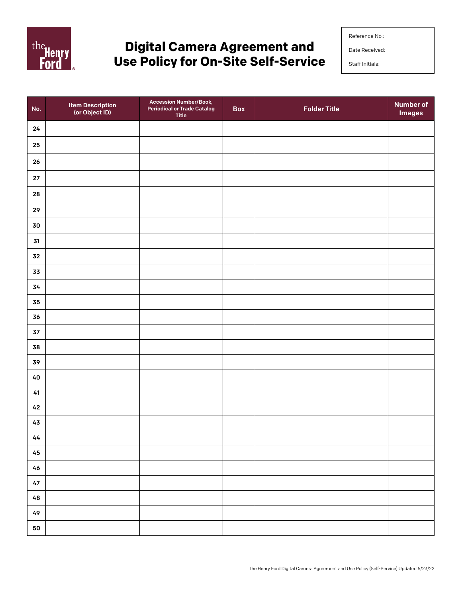

# **Digital Camera Agreement and Use Policy for On-Site Self-Service**

Reference No.:

Date Received:

Staff Initials:

| No.           | Item Description<br>(or Object ID) | Accession Number/Book,<br><b>Periodical or Trade Catalog</b><br><b>Title</b> | Box | <b>Folder Title</b> | <b>Number of</b><br><b>Images</b> |
|---------------|------------------------------------|------------------------------------------------------------------------------|-----|---------------------|-----------------------------------|
| ${\bf 24}$    |                                    |                                                                              |     |                     |                                   |
| ${\bf 25}$    |                                    |                                                                              |     |                     |                                   |
| ${\bf 26}$    |                                    |                                                                              |     |                     |                                   |
| ${\bf 27}$    |                                    |                                                                              |     |                     |                                   |
| 28            |                                    |                                                                              |     |                     |                                   |
| 29            |                                    |                                                                              |     |                     |                                   |
| 30            |                                    |                                                                              |     |                     |                                   |
| 31            |                                    |                                                                              |     |                     |                                   |
| ${\bf 32}$    |                                    |                                                                              |     |                     |                                   |
| 33            |                                    |                                                                              |     |                     |                                   |
| 34            |                                    |                                                                              |     |                     |                                   |
| 35            |                                    |                                                                              |     |                     |                                   |
| 36            |                                    |                                                                              |     |                     |                                   |
| $\mathbf{37}$ |                                    |                                                                              |     |                     |                                   |
| 38            |                                    |                                                                              |     |                     |                                   |
| 39            |                                    |                                                                              |     |                     |                                   |
| $40\,$        |                                    |                                                                              |     |                     |                                   |
| 41            |                                    |                                                                              |     |                     |                                   |
| $42\,$        |                                    |                                                                              |     |                     |                                   |
| $43$          |                                    |                                                                              |     |                     |                                   |
| 44            |                                    |                                                                              |     |                     |                                   |
| $\bf 45$      |                                    |                                                                              |     |                     |                                   |
| $46\,$        |                                    |                                                                              |     |                     |                                   |
| $47\,$        |                                    |                                                                              |     |                     |                                   |
| 48            |                                    |                                                                              |     |                     |                                   |
| 49            |                                    |                                                                              |     |                     |                                   |
| ${\bf 50}$    |                                    |                                                                              |     |                     |                                   |